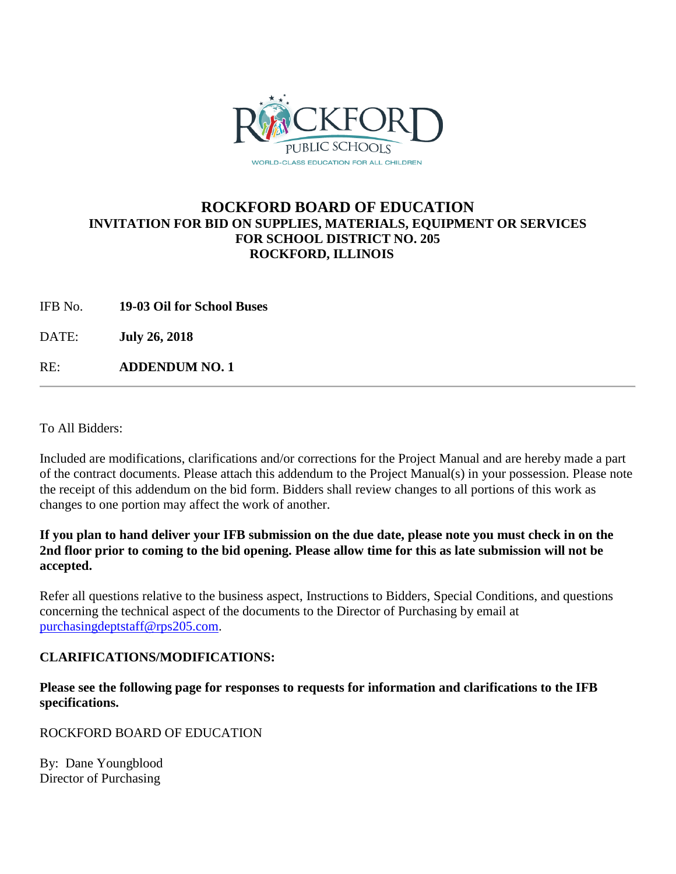

## **ROCKFORD BOARD OF EDUCATION INVITATION FOR BID ON SUPPLIES, MATERIALS, EQUIPMENT OR SERVICES FOR SCHOOL DISTRICT NO. 205 ROCKFORD, ILLINOIS**

IFB No. **19-03 Oil for School Buses**

DATE: **July 26, 2018**

RE: **ADDENDUM NO. 1**

To All Bidders:

Included are modifications, clarifications and/or corrections for the Project Manual and are hereby made a part of the contract documents. Please attach this addendum to the Project Manual(s) in your possession. Please note the receipt of this addendum on the bid form. Bidders shall review changes to all portions of this work as changes to one portion may affect the work of another.

## **If you plan to hand deliver your IFB submission on the due date, please note you must check in on the 2nd floor prior to coming to the bid opening. Please allow time for this as late submission will not be accepted.**

Refer all questions relative to the business aspect, Instructions to Bidders, Special Conditions, and questions concerning the technical aspect of the documents to the Director of Purchasing by email at [purchasingdeptstaff@rps205.com.](mailto:purchasingdeptstaff@rps205.com)

## **CLARIFICATIONS/MODIFICATIONS:**

**Please see the following page for responses to requests for information and clarifications to the IFB specifications.** 

ROCKFORD BOARD OF EDUCATION

By: Dane Youngblood Director of Purchasing